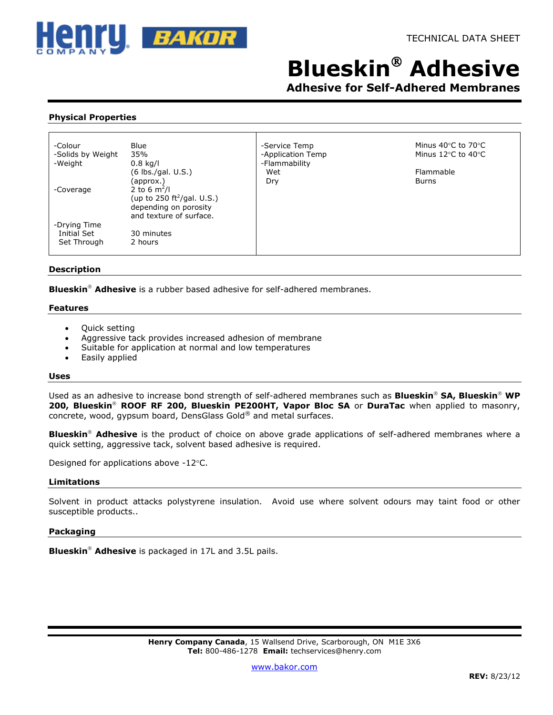

# **Blueskin Adhesive**

**Adhesive for Self-Adhered Membranes**

# **Physical Properties**

| -Colour           | Blue                                   | -Service Temp     | Minus 40°C to 70°C                     |
|-------------------|----------------------------------------|-------------------|----------------------------------------|
| -Solids by Weight | 35%                                    | -Application Temp | Minus $12^{\circ}$ C to $40^{\circ}$ C |
| -Weight           | $0.8$ kg/l                             | -Flammability     |                                        |
|                   | (6 lbs./gal. U.S.)                     | Wet               | Flammable                              |
|                   | (approx.)                              | Dry               | <b>Burns</b>                           |
| -Coverage         | 2 to 6 $m^2/l$                         |                   |                                        |
|                   | (up to 250 ft <sup>2</sup> /gal. U.S.) |                   |                                        |
|                   | depending on porosity                  |                   |                                        |
|                   | and texture of surface.                |                   |                                        |
| -Drying Time      |                                        |                   |                                        |
| Initial Set       | 30 minutes                             |                   |                                        |
| Set Through       | 2 hours                                |                   |                                        |
|                   |                                        |                   |                                        |

## **Description**

**Blueskin<sup>®</sup> Adhesive** is a rubber based adhesive for self-adhered membranes.

#### **Features**

- Quick setting
- Aggressive tack provides increased adhesion of membrane
- Suitable for application at normal and low temperatures
- Easily applied

#### **Uses**

Used as an adhesive to increase bond strength of self-adhered membranes such as **Blueskin<sup>®</sup> SA, Blueskin<sup>®</sup> WP** 200, Blueskin<sup>®</sup> ROOF RF 200, Blueskin PE200HT, Vapor Bloc SA or DuraTac when applied to masonry, concrete, wood, gypsum board, DensGlass Gold® and metal surfaces.

Blueskin<sup>®</sup> Adhesive is the product of choice on above grade applications of self-adhered membranes where a quick setting, aggressive tack, solvent based adhesive is required.

Designed for applications above -12°C.

## **Limitations**

Solvent in product attacks polystyrene insulation. Avoid use where solvent odours may taint food or other susceptible products..

## **Packaging**

**Blueskin<sup>®</sup> Adhesive** is packaged in 17L and 3.5L pails.